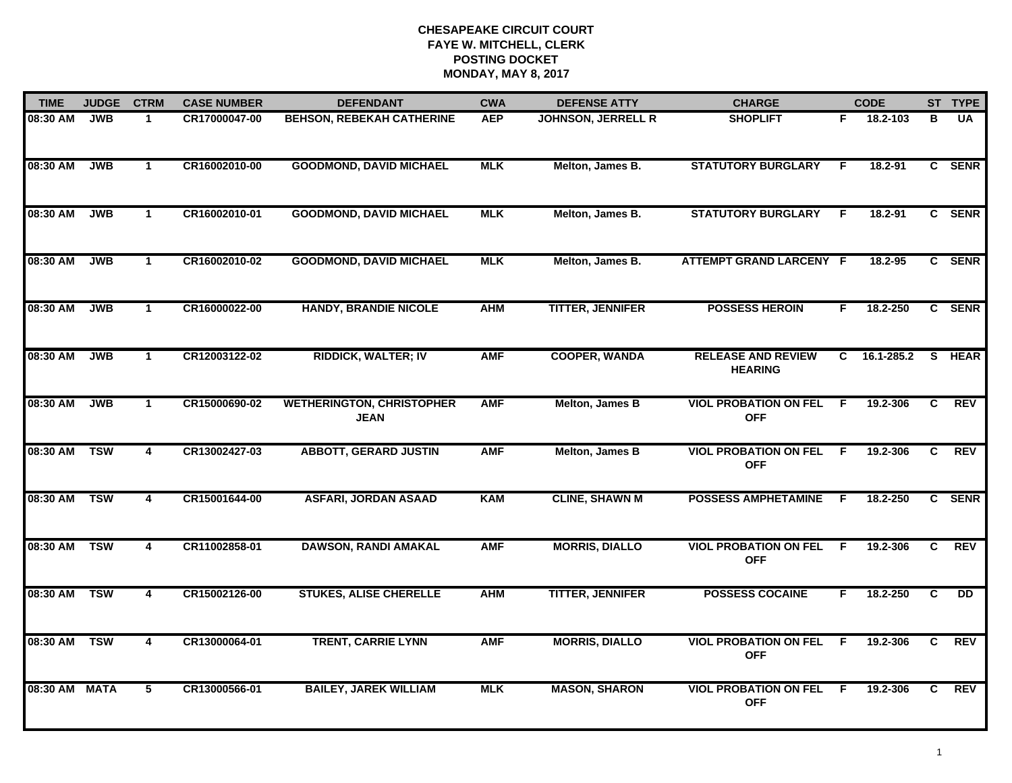| <b>TIME</b>   | <b>JUDGE</b> | <b>CTRM</b>  | <b>CASE NUMBER</b> | <b>DEFENDANT</b>                                | <b>CWA</b> | <b>DEFENSE ATTY</b>       | <b>CHARGE</b>                               |    | <b>CODE</b> |    | ST TYPE     |
|---------------|--------------|--------------|--------------------|-------------------------------------------------|------------|---------------------------|---------------------------------------------|----|-------------|----|-------------|
| 08:30 AM      | <b>JWB</b>   | 1            | CR17000047-00      | <b>BEHSON, REBEKAH CATHERINE</b>                | <b>AEP</b> | <b>JOHNSON, JERRELL R</b> | <b>SHOPLIFT</b>                             | F. | 18.2-103    | в  | <b>UA</b>   |
| 08:30 AM      | <b>JWB</b>   | $\mathbf{1}$ | CR16002010-00      | <b>GOODMOND, DAVID MICHAEL</b>                  | <b>MLK</b> | Melton, James B.          | <b>STATUTORY BURGLARY</b>                   | F. | 18.2-91     |    | C SENR      |
| 08:30 AM      | <b>JWB</b>   | $\mathbf 1$  | CR16002010-01      | <b>GOODMOND, DAVID MICHAEL</b>                  | <b>MLK</b> | Melton, James B.          | <b>STATUTORY BURGLARY</b>                   | E  | 18.2-91     |    | C SENR      |
| 08:30 AM      | <b>JWB</b>   | $\mathbf 1$  | CR16002010-02      | <b>GOODMOND, DAVID MICHAEL</b>                  | <b>MLK</b> | Melton, James B.          | <b>ATTEMPT GRAND LARCENY F</b>              |    | 18.2-95     |    | C SENR      |
| 08:30 AM      | <b>JWB</b>   | $\mathbf 1$  | CR16000022-00      | <b>HANDY, BRANDIE NICOLE</b>                    | <b>AHM</b> | <b>TITTER, JENNIFER</b>   | <b>POSSESS HEROIN</b>                       | F. | 18.2-250    |    | C SENR      |
| 08:30 AM      | <b>JWB</b>   | $\mathbf{1}$ | CR12003122-02      | <b>RIDDICK, WALTER; IV</b>                      | <b>AMF</b> | <b>COOPER, WANDA</b>      | <b>RELEASE AND REVIEW</b><br><b>HEARING</b> | C. | 16.1-285.2  | S. | <b>HEAR</b> |
| 08:30 AM      | <b>JWB</b>   | $\mathbf{1}$ | CR15000690-02      | <b>WETHERINGTON, CHRISTOPHER</b><br><b>JEAN</b> | <b>AMF</b> | Melton, James B           | <b>VIOL PROBATION ON FEL</b><br><b>OFF</b>  | F. | 19.2-306    | C. | <b>REV</b>  |
| 08:30 AM      | <b>TSW</b>   | 4            | CR13002427-03      | <b>ABBOTT, GERARD JUSTIN</b>                    | <b>AMF</b> | Melton, James B           | <b>VIOL PROBATION ON FEL</b><br><b>OFF</b>  | -F | 19.2-306    | C. | <b>REV</b>  |
| 08:30 AM      | <b>TSW</b>   | 4            | CR15001644-00      | <b>ASFARI, JORDAN ASAAD</b>                     | <b>KAM</b> | <b>CLINE, SHAWN M</b>     | <b>POSSESS AMPHETAMINE</b>                  | F. | 18.2-250    |    | C SENR      |
| 08:30 AM      | <b>TSW</b>   | 4            | CR11002858-01      | <b>DAWSON, RANDI AMAKAL</b>                     | <b>AMF</b> | <b>MORRIS, DIALLO</b>     | <b>VIOL PROBATION ON FEL</b><br><b>OFF</b>  | -F | 19.2-306    | C. | <b>REV</b>  |
| 08:30 AM      | <b>TSW</b>   | 4            | CR15002126-00      | <b>STUKES, ALISE CHERELLE</b>                   | <b>AHM</b> | <b>TITTER, JENNIFER</b>   | <b>POSSESS COCAINE</b>                      | F  | 18.2-250    | C  | <b>DD</b>   |
| 08:30 AM      | <b>TSW</b>   | 4            | CR13000064-01      | <b>TRENT, CARRIE LYNN</b>                       | <b>AMF</b> | <b>MORRIS, DIALLO</b>     | <b>VIOL PROBATION ON FEL</b><br><b>OFF</b>  | -F | 19.2-306    | C  | <b>REV</b>  |
| 08:30 AM MATA |              | 5            | CR13000566-01      | <b>BAILEY, JAREK WILLIAM</b>                    | <b>MLK</b> | <b>MASON, SHARON</b>      | <b>VIOL PROBATION ON FEL</b><br><b>OFF</b>  | -F | 19.2-306    | C  | <b>REV</b>  |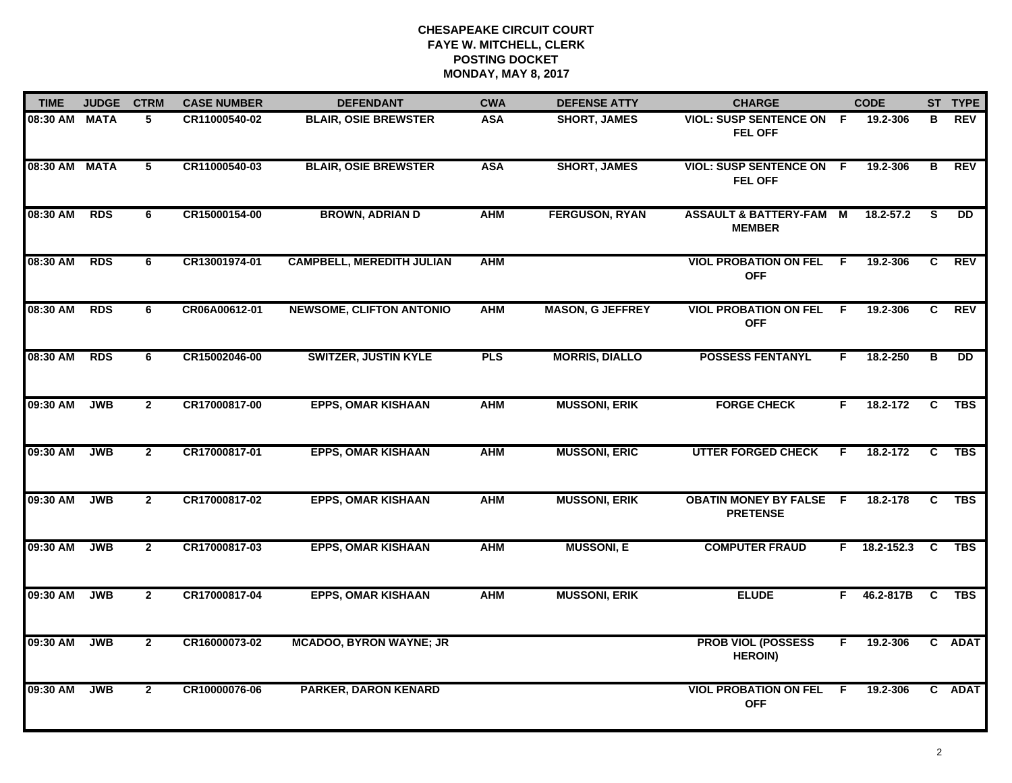| <b>TIME</b>   | <b>JUDGE</b> | <b>CTRM</b>    | <b>CASE NUMBER</b> | <b>DEFENDANT</b>                 | <b>CWA</b> | <b>DEFENSE ATTY</b>     | <b>CHARGE</b>                                     |    | <b>CODE</b>    |                | ST TYPE        |
|---------------|--------------|----------------|--------------------|----------------------------------|------------|-------------------------|---------------------------------------------------|----|----------------|----------------|----------------|
| 08:30 AM MATA |              | 5.             | CR11000540-02      | <b>BLAIR, OSIE BREWSTER</b>      | <b>ASA</b> | <b>SHORT, JAMES</b>     | <b>VIOL: SUSP SENTENCE ON F</b><br><b>FEL OFF</b> |    | 19.2-306       | в              | <b>REV</b>     |
| 08:30 AM MATA |              | $\overline{5}$ | CR11000540-03      | <b>BLAIR, OSIE BREWSTER</b>      | <b>ASA</b> | <b>SHORT, JAMES</b>     | <b>VIOL: SUSP SENTENCE ON F</b><br><b>FEL OFF</b> |    | 19.2-306       | В              | REV            |
| 08:30 AM RDS  |              | 6              | CR15000154-00      | <b>BROWN, ADRIAN D</b>           | <b>AHM</b> | <b>FERGUSON, RYAN</b>   | ASSAULT & BATTERY-FAM M<br><b>MEMBER</b>          |    | 18.2-57.2      | <b>S</b>       | $\overline{D}$ |
| 08:30 AM      | <b>RDS</b>   | 6              | CR13001974-01      | <b>CAMPBELL, MEREDITH JULIAN</b> | <b>AHM</b> |                         | <b>VIOL PROBATION ON FEL F</b><br><b>OFF</b>      |    | 19.2-306       | C              | <b>REV</b>     |
| 08:30 AM      | <b>RDS</b>   | 6              | CR06A00612-01      | <b>NEWSOME, CLIFTON ANTONIO</b>  | <b>AHM</b> | <b>MASON, G JEFFREY</b> | <b>VIOL PROBATION ON FEL F</b><br><b>OFF</b>      |    | 19.2-306       | C.             | <b>REV</b>     |
| 08:30 AM      | <b>RDS</b>   | 6              | CR15002046-00      | <b>SWITZER, JUSTIN KYLE</b>      | <b>PLS</b> | <b>MORRIS, DIALLO</b>   | <b>POSSESS FENTANYL</b>                           | F. | 18.2-250       | в              | DD             |
| 09:30 AM      | <b>JWB</b>   | $\overline{2}$ | CR17000817-00      | <b>EPPS, OMAR KISHAAN</b>        | <b>AHM</b> | <b>MUSSONI, ERIK</b>    | <b>FORGE CHECK</b>                                | F. | 18.2-172       | $\overline{c}$ | <b>TBS</b>     |
| 09:30 AM      | <b>JWB</b>   | $\mathbf{2}$   | CR17000817-01      | <b>EPPS, OMAR KISHAAN</b>        | <b>AHM</b> | <b>MUSSONI, ERIC</b>    | <b>UTTER FORGED CHECK</b>                         | F. | 18.2-172       | C              | <b>TBS</b>     |
| 09:30 AM      | <b>JWB</b>   | $\mathbf{2}$   | CR17000817-02      | <b>EPPS, OMAR KISHAAN</b>        | <b>AHM</b> | <b>MUSSONI, ERIK</b>    | <b>OBATIN MONEY BY FALSE F</b><br><b>PRETENSE</b> |    | 18.2-178       | C              | <b>TBS</b>     |
| 09:30 AM      | <b>JWB</b>   | $\overline{2}$ | CR17000817-03      | <b>EPPS, OMAR KISHAAN</b>        | <b>AHM</b> | <b>MUSSONI, E</b>       | <b>COMPUTER FRAUD</b>                             |    | $F$ 18.2-152.3 | <b>C</b>       | <b>TBS</b>     |
| 09:30 AM      | <b>JWB</b>   | $\overline{2}$ | CR17000817-04      | <b>EPPS, OMAR KISHAAN</b>        | <b>AHM</b> | <b>MUSSONI, ERIK</b>    | <b>ELUDE</b>                                      | F. | 46.2-817B      | $\overline{c}$ | <b>TBS</b>     |
| 09:30 AM      | <b>JWB</b>   | $\overline{2}$ | CR16000073-02      | <b>MCADOO, BYRON WAYNE; JR</b>   |            |                         | <b>PROB VIOL (POSSESS</b><br><b>HEROIN)</b>       | F. | 19.2-306       |                | C ADAT         |
| 09:30 AM      | <b>JWB</b>   | $\mathbf{2}$   | CR10000076-06      | <b>PARKER, DARON KENARD</b>      |            |                         | <b>VIOL PROBATION ON FEL</b><br><b>OFF</b>        | F. | 19.2-306       |                | C ADAT         |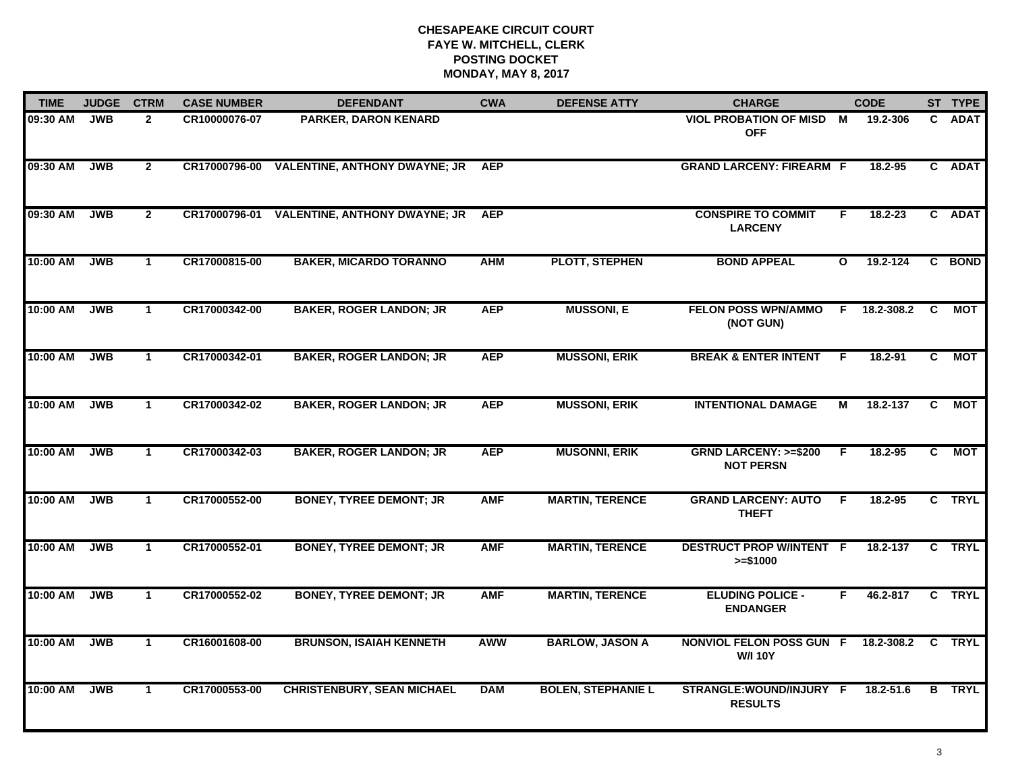| <b>TIME</b> | <b>JUDGE</b> | <b>CTRM</b>          | <b>CASE NUMBER</b> | <b>DEFENDANT</b>                     | <b>CWA</b> | <b>DEFENSE ATTY</b>       | <b>CHARGE</b>                                       |              | <b>CODE</b> |                | ST TYPE       |
|-------------|--------------|----------------------|--------------------|--------------------------------------|------------|---------------------------|-----------------------------------------------------|--------------|-------------|----------------|---------------|
| 09:30 AM    | <b>JWB</b>   | $\overline{2}$       | CR10000076-07      | PARKER, DARON KENARD                 |            |                           | <b>VIOL PROBATION OF MISD</b><br><b>OFF</b>         | M            | 19.2-306    | C.             | <b>ADAT</b>   |
| 09:30 AM    | <b>JWB</b>   | $\overline{2}$       | CR17000796-00      | <b>VALENTINE, ANTHONY DWAYNE; JR</b> | <b>AEP</b> |                           | <b>GRAND LARCENY: FIREARM F</b>                     |              | 18.2-95     |                | C ADAT        |
| 09:30 AM    | <b>JWB</b>   | $\mathbf{2}$         | CR17000796-01      | <b>VALENTINE, ANTHONY DWAYNE; JR</b> | <b>AEP</b> |                           | <b>CONSPIRE TO COMMIT</b><br><b>LARCENY</b>         | F.           | 18.2-23     |                | C ADAT        |
| 10:00 AM    | <b>JWB</b>   | $\mathbf 1$          | CR17000815-00      | <b>BAKER, MICARDO TORANNO</b>        | <b>AHM</b> | <b>PLOTT, STEPHEN</b>     | <b>BOND APPEAL</b>                                  | $\mathbf{o}$ | 19.2-124    |                | C BOND        |
| 10:00 AM    | <b>JWB</b>   | $\mathbf{1}$         | CR17000342-00      | <b>BAKER, ROGER LANDON; JR</b>       | <b>AEP</b> | <b>MUSSONI, E</b>         | <b>FELON POSS WPN/AMMO</b><br>(NOT GUN)             | F.           | 18.2-308.2  | C              | МОТ           |
| 10:00 AM    | <b>JWB</b>   | $\mathbf{1}$         | CR17000342-01      | <b>BAKER, ROGER LANDON; JR</b>       | <b>AEP</b> | <b>MUSSONI, ERIK</b>      | <b>BREAK &amp; ENTER INTENT</b>                     | F.           | 18.2-91     | C              | <b>MOT</b>    |
| 10:00 AM    | <b>JWB</b>   | $\mathbf{1}$         | CR17000342-02      | <b>BAKER, ROGER LANDON; JR</b>       | <b>AEP</b> | <b>MUSSONI, ERIK</b>      | <b>INTENTIONAL DAMAGE</b>                           | М            | 18.2-137    | $\overline{c}$ | <b>MOT</b>    |
| 10:00 AM    | <b>JWB</b>   | $\mathbf{1}$         | CR17000342-03      | <b>BAKER, ROGER LANDON; JR</b>       | <b>AEP</b> | <b>MUSONNI, ERIK</b>      | <b>GRND LARCENY: &gt;=\$200</b><br><b>NOT PERSN</b> | F            | 18.2-95     | C              | MOT           |
| 10:00 AM    | <b>JWB</b>   | $\blacktriangleleft$ | CR17000552-00      | <b>BONEY, TYREE DEMONT; JR</b>       | <b>AMF</b> | <b>MARTIN, TERENCE</b>    | <b>GRAND LARCENY: AUTO</b><br><b>THEFT</b>          | -F           | 18.2-95     |                | C TRYL        |
| 10:00 AM    | <b>JWB</b>   | $\mathbf{1}$         | CR17000552-01      | <b>BONEY, TYREE DEMONT; JR</b>       | <b>AMF</b> | <b>MARTIN, TERENCE</b>    | <b>DESTRUCT PROP W/INTENT F</b><br>$>= $1000$       |              | 18.2-137    |                | C TRYL        |
| 10:00 AM    | <b>JWB</b>   | $\mathbf 1$          | CR17000552-02      | <b>BONEY, TYREE DEMONT; JR</b>       | <b>AMF</b> | <b>MARTIN, TERENCE</b>    | <b>ELUDING POLICE -</b><br><b>ENDANGER</b>          | F.           | 46.2-817    |                | C TRYL        |
| 10:00 AM    | <b>JWB</b>   | $\mathbf{1}$         | CR16001608-00      | <b>BRUNSON, ISAIAH KENNETH</b>       | <b>AWW</b> | <b>BARLOW, JASON A</b>    | NONVIOL FELON POSS GUN F<br><b>W/I 10Y</b>          |              | 18.2-308.2  | C              | <b>TRYL</b>   |
| 10:00 AM    | <b>JWB</b>   | $\mathbf{1}$         | CR17000553-00      | <b>CHRISTENBURY, SEAN MICHAEL</b>    | <b>DAM</b> | <b>BOLEN, STEPHANIE L</b> | STRANGLE:WOUND/INJURY F<br><b>RESULTS</b>           |              | 18.2-51.6   |                | <b>B</b> TRYL |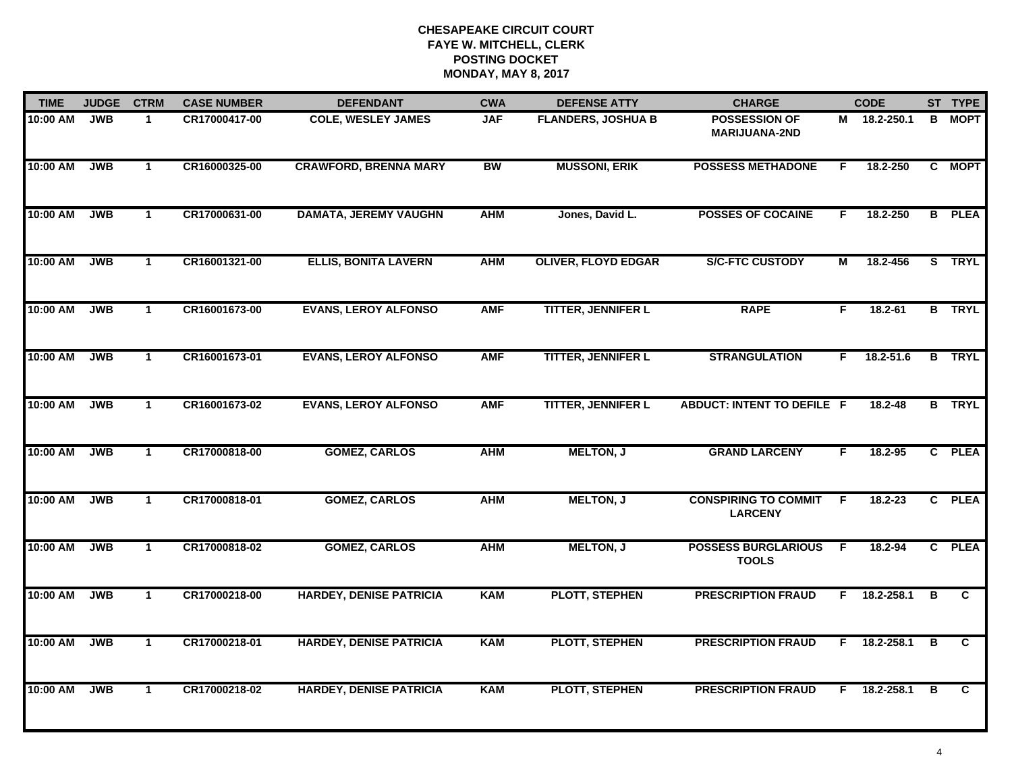| <b>TIME</b> | <b>JUDGE</b> | <b>CTRM</b>  | <b>CASE NUMBER</b> | <b>DEFENDANT</b>               | <b>CWA</b> | <b>DEFENSE ATTY</b>        | <b>CHARGE</b>                                 |    | <b>CODE</b>    |    | ST TYPE       |
|-------------|--------------|--------------|--------------------|--------------------------------|------------|----------------------------|-----------------------------------------------|----|----------------|----|---------------|
| 10:00 AM    | <b>JWB</b>   | $\mathbf 1$  | CR17000417-00      | <b>COLE, WESLEY JAMES</b>      | <b>JAF</b> | <b>FLANDERS, JOSHUA B</b>  | <b>POSSESSION OF</b><br><b>MARIJUANA-2ND</b>  |    | M 18.2-250.1   | B  | <b>MOPT</b>   |
| 10:00 AM    | <b>JWB</b>   | $\mathbf{1}$ | CR16000325-00      | <b>CRAWFORD, BRENNA MARY</b>   | <b>BW</b>  | <b>MUSSONI, ERIK</b>       | <b>POSSESS METHADONE</b>                      | F  | 18.2-250       | C. | <b>MOPT</b>   |
| 10:00 AM    | <b>JWB</b>   | $\mathbf{1}$ | CR17000631-00      | <b>DAMATA, JEREMY VAUGHN</b>   | <b>AHM</b> | Jones, David L.            | <b>POSSES OF COCAINE</b>                      | F. | 18.2-250       |    | <b>B</b> PLEA |
| 10:00 AM    | <b>JWB</b>   | $\mathbf{1}$ | CR16001321-00      | <b>ELLIS, BONITA LAVERN</b>    | <b>AHM</b> | <b>OLIVER, FLOYD EDGAR</b> | <b>S/C-FTC CUSTODY</b>                        | М  | 18.2-456       |    | S TRYL        |
| 10:00 AM    | <b>JWB</b>   | $\mathbf{1}$ | CR16001673-00      | <b>EVANS, LEROY ALFONSO</b>    | <b>AMF</b> | <b>TITTER, JENNIFER L</b>  | <b>RAPE</b>                                   | F. | $18.2 - 61$    |    | <b>B</b> TRYL |
| 10:00 AM    | <b>JWB</b>   | $\mathbf{1}$ | CR16001673-01      | <b>EVANS, LEROY ALFONSO</b>    | <b>AMF</b> | <b>TITTER, JENNIFER L</b>  | <b>STRANGULATION</b>                          | F. | 18.2-51.6      |    | <b>B</b> TRYL |
| 10:00 AM    | <b>JWB</b>   | $\mathbf{1}$ | CR16001673-02      | <b>EVANS, LEROY ALFONSO</b>    | <b>AMF</b> | <b>TITTER, JENNIFER L</b>  | <b>ABDUCT: INTENT TO DEFILE F</b>             |    | $18.2 - 48$    |    | <b>B</b> TRYL |
| 10:00 AM    | <b>JWB</b>   | $\mathbf{1}$ | CR17000818-00      | <b>GOMEZ, CARLOS</b>           | <b>AHM</b> | <b>MELTON, J</b>           | <b>GRAND LARCENY</b>                          | F. | 18.2-95        |    | C PLEA        |
| 10:00 AM    | <b>JWB</b>   | $\mathbf 1$  | CR17000818-01      | <b>GOMEZ, CARLOS</b>           | <b>AHM</b> | <b>MELTON, J</b>           | <b>CONSPIRING TO COMMIT</b><br><b>LARCENY</b> | F  | 18.2-23        |    | C PLEA        |
| 10:00 AM    | <b>JWB</b>   | $\mathbf{1}$ | CR17000818-02      | <b>GOMEZ, CARLOS</b>           | <b>AHM</b> | <b>MELTON, J</b>           | <b>POSSESS BURGLARIOUS</b><br><b>TOOLS</b>    | F  | 18.2-94        |    | C PLEA        |
| 10:00 AM    | <b>JWB</b>   | $\mathbf{1}$ | CR17000218-00      | <b>HARDEY, DENISE PATRICIA</b> | <b>KAM</b> | <b>PLOTT, STEPHEN</b>      | <b>PRESCRIPTION FRAUD</b>                     |    | $F$ 18.2-258.1 | В  | C.            |
| 10:00 AM    | <b>JWB</b>   | $\mathbf{1}$ | CR17000218-01      | <b>HARDEY, DENISE PATRICIA</b> | <b>KAM</b> | <b>PLOTT, STEPHEN</b>      | <b>PRESCRIPTION FRAUD</b>                     | F. | 18.2-258.1     | В  | C             |
| 10:00 AM    | <b>JWB</b>   | $\mathbf{1}$ | CR17000218-02      | <b>HARDEY, DENISE PATRICIA</b> | <b>KAM</b> | <b>PLOTT, STEPHEN</b>      | <b>PRESCRIPTION FRAUD</b>                     | F. | 18.2-258.1     | в  | C.            |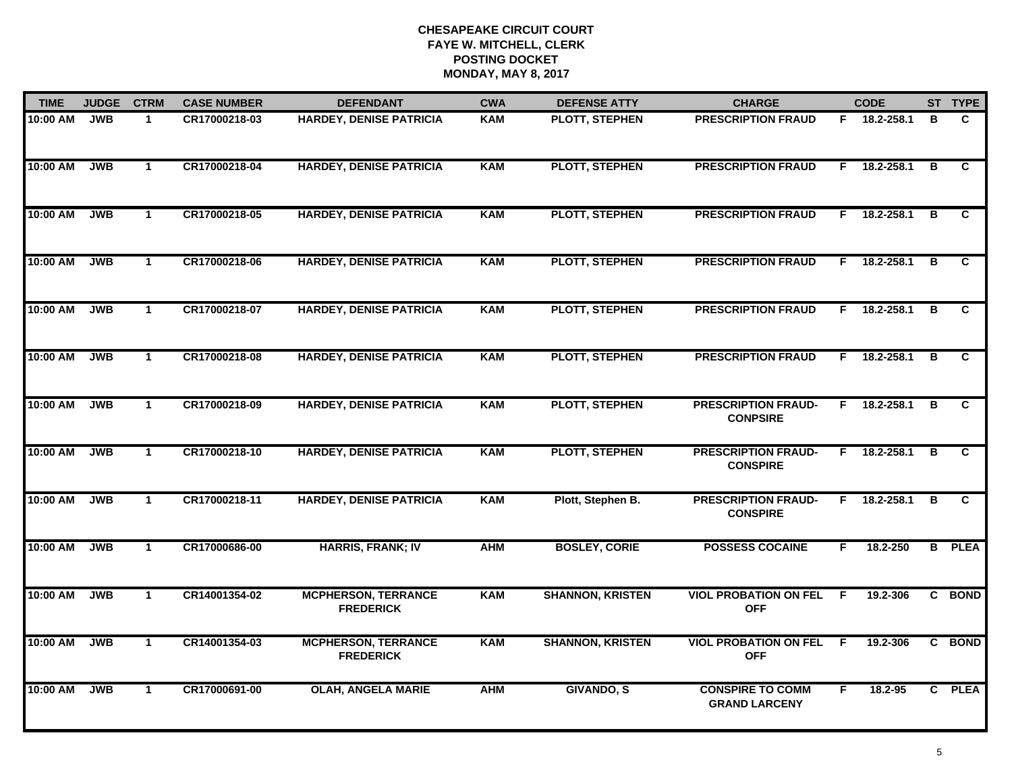| <b>TIME</b> | <b>JUDGE</b> | <b>CTRM</b>  | <b>CASE NUMBER</b> | <b>DEFENDANT</b>                               | <b>CWA</b> | <b>DEFENSE ATTY</b>     | <b>CHARGE</b>                                   |    | <b>CODE</b>  |   | ST TYPE        |
|-------------|--------------|--------------|--------------------|------------------------------------------------|------------|-------------------------|-------------------------------------------------|----|--------------|---|----------------|
| 10:00 AM    | <b>JWB</b>   | $\mathbf{1}$ | CR17000218-03      | <b>HARDEY, DENISE PATRICIA</b>                 | <b>KAM</b> | PLOTT, STEPHEN          | <b>PRESCRIPTION FRAUD</b>                       |    | F 18.2-258.1 | в | C.             |
| 10:00 AM    | <b>JWB</b>   | $\mathbf{1}$ | CR17000218-04      | <b>HARDEY, DENISE PATRICIA</b>                 | <b>KAM</b> | <b>PLOTT, STEPHEN</b>   | <b>PRESCRIPTION FRAUD</b>                       | F. | 18.2-258.1   | B | C.             |
| 10:00 AM    | <b>JWB</b>   | $\mathbf{1}$ | CR17000218-05      | <b>HARDEY, DENISE PATRICIA</b>                 | <b>KAM</b> | <b>PLOTT, STEPHEN</b>   | <b>PRESCRIPTION FRAUD</b>                       | F. | 18.2-258.1   | B | C.             |
| 10:00 AM    | <b>JWB</b>   | $\mathbf 1$  | CR17000218-06      | <b>HARDEY, DENISE PATRICIA</b>                 | <b>KAM</b> | <b>PLOTT, STEPHEN</b>   | <b>PRESCRIPTION FRAUD</b>                       | F. | 18.2-258.1   | В | C.             |
| 10:00 AM    | <b>JWB</b>   | $\mathbf{1}$ | CR17000218-07      | <b>HARDEY, DENISE PATRICIA</b>                 | <b>KAM</b> | <b>PLOTT, STEPHEN</b>   | <b>PRESCRIPTION FRAUD</b>                       |    | F 18.2-258.1 | в | C              |
| 10:00 AM    | <b>JWB</b>   | $\mathbf 1$  | CR17000218-08      | <b>HARDEY, DENISE PATRICIA</b>                 | <b>KAM</b> | <b>PLOTT, STEPHEN</b>   | <b>PRESCRIPTION FRAUD</b>                       |    | F 18.2-258.1 | В | C.             |
| 10:00 AM    | <b>JWB</b>   | $\mathbf{1}$ | CR17000218-09      | <b>HARDEY, DENISE PATRICIA</b>                 | <b>KAM</b> | <b>PLOTT, STEPHEN</b>   | <b>PRESCRIPTION FRAUD-</b><br><b>CONPSIRE</b>   | F. | 18.2-258.1   | B | C              |
| 10:00 AM    | <b>JWB</b>   | $\mathbf{1}$ | CR17000218-10      | <b>HARDEY, DENISE PATRICIA</b>                 | <b>KAM</b> | <b>PLOTT, STEPHEN</b>   | <b>PRESCRIPTION FRAUD-</b><br><b>CONSPIRE</b>   | F. | 18.2-258.1   | В | $\overline{c}$ |
| 10:00 AM    | <b>JWB</b>   | $\mathbf{1}$ | CR17000218-11      | <b>HARDEY, DENISE PATRICIA</b>                 | <b>KAM</b> | Plott, Stephen B.       | <b>PRESCRIPTION FRAUD-</b><br><b>CONSPIRE</b>   | F. | 18.2-258.1   | B | C              |
| 10:00 AM    | <b>JWB</b>   | $\mathbf{1}$ | CR17000686-00      | <b>HARRIS, FRANK; IV</b>                       | <b>AHM</b> | <b>BOSLEY, CORIE</b>    | <b>POSSESS COCAINE</b>                          | F. | 18.2-250     |   | <b>B</b> PLEA  |
| 10:00 AM    | <b>JWB</b>   | $\mathbf 1$  | CR14001354-02      | <b>MCPHERSON, TERRANCE</b><br><b>FREDERICK</b> | KAM        | <b>SHANNON, KRISTEN</b> | <b>VIOL PROBATION ON FEL</b><br><b>OFF</b>      | F. | 19.2-306     |   | C BOND         |
| 10:00 AM    | <b>JWB</b>   | $\mathbf 1$  | CR14001354-03      | <b>MCPHERSON, TERRANCE</b><br><b>FREDERICK</b> | <b>KAM</b> | <b>SHANNON, KRISTEN</b> | <b>VIOL PROBATION ON FEL</b><br><b>OFF</b>      | F. | 19.2-306     |   | C BOND         |
| 10:00 AM    | <b>JWB</b>   | $\mathbf{1}$ | CR17000691-00      | <b>OLAH, ANGELA MARIE</b>                      | <b>AHM</b> | <b>GIVANDO, S</b>       | <b>CONSPIRE TO COMM</b><br><b>GRAND LARCENY</b> | F  | 18.2-95      |   | C PLEA         |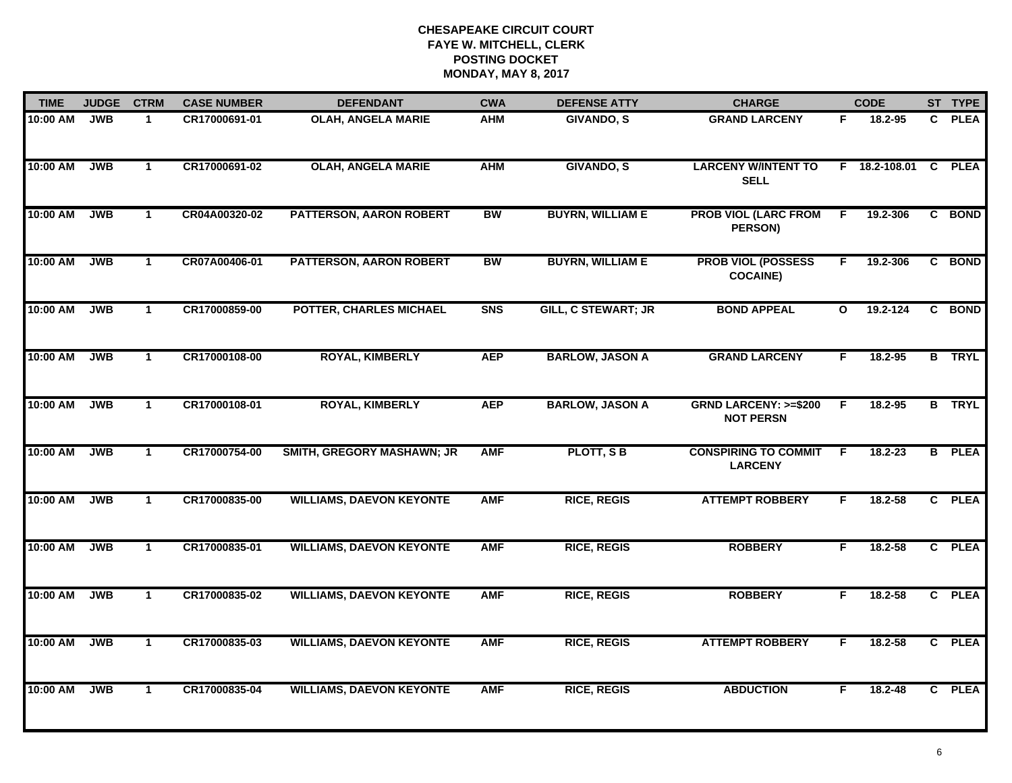| <b>TIME</b> | <b>JUDGE</b> | <b>CTRM</b>          | <b>CASE NUMBER</b> | <b>DEFENDANT</b>                  | <b>CWA</b> | <b>DEFENSE ATTY</b>        | <b>CHARGE</b>                                       |                | <b>CODE</b>          | ST TYPE       |
|-------------|--------------|----------------------|--------------------|-----------------------------------|------------|----------------------------|-----------------------------------------------------|----------------|----------------------|---------------|
| 10:00 AM    | <b>JWB</b>   | 1                    | CR17000691-01      | <b>OLAH, ANGELA MARIE</b>         | <b>AHM</b> | <b>GIVANDO, S</b>          | <b>GRAND LARCENY</b>                                | F.             | 18.2-95              | C PLEA        |
| 10:00 AM    | <b>JWB</b>   | $\mathbf{1}$         | CR17000691-02      | <b>OLAH, ANGELA MARIE</b>         | <b>AHM</b> | <b>GIVANDO, S</b>          | <b>LARCENY W/INTENT TO</b><br><b>SELL</b>           |                | F 18.2-108.01 C PLEA |               |
| 10:00 AM    | <b>JWB</b>   | $\mathbf{1}$         | CR04A00320-02      | <b>PATTERSON, AARON ROBERT</b>    | <b>BW</b>  | <b>BUYRN, WILLIAM E</b>    | <b>PROB VIOL (LARC FROM</b><br>PERSON)              | F              | 19.2-306             | C BOND        |
| 10:00 AM    | <b>JWB</b>   | 1                    | CR07A00406-01      | PATTERSON, AARON ROBERT           | BW         | <b>BUYRN, WILLIAM E</b>    | <b>PROB VIOL (POSSESS</b><br><b>COCAINE)</b>        | F.             | 19.2-306             | C BOND        |
| 10:00 AM    | <b>JWB</b>   | $\mathbf{1}$         | CR17000859-00      | POTTER, CHARLES MICHAEL           | <b>SNS</b> | <b>GILL, C STEWART; JR</b> | <b>BOND APPEAL</b>                                  | $\mathbf{o}$   | 19.2-124             | C BOND        |
| 10:00 AM    | <b>JWB</b>   | $\mathbf{1}$         | CR17000108-00      | <b>ROYAL, KIMBERLY</b>            | <b>AEP</b> | <b>BARLOW, JASON A</b>     | <b>GRAND LARCENY</b>                                | F.             | 18.2-95              | <b>B</b> TRYL |
| 10:00 AM    | <b>JWB</b>   | $\mathbf{1}$         | CR17000108-01      | <b>ROYAL, KIMBERLY</b>            | <b>AEP</b> | <b>BARLOW, JASON A</b>     | <b>GRND LARCENY: &gt;=\$200</b><br><b>NOT PERSN</b> | $\overline{F}$ | 18.2-95              | <b>B</b> TRYL |
| 10:00 AM    | <b>JWB</b>   | $\mathbf{1}$         | CR17000754-00      | <b>SMITH, GREGORY MASHAWN; JR</b> | <b>AMF</b> | PLOTT, SB                  | <b>CONSPIRING TO COMMIT</b><br><b>LARCENY</b>       | F              | $18.2 - 23$          | <b>B</b> PLEA |
| 10:00 AM    | <b>JWB</b>   | $\blacktriangleleft$ | CR17000835-00      | <b>WILLIAMS, DAEVON KEYONTE</b>   | <b>AMF</b> | <b>RICE, REGIS</b>         | <b>ATTEMPT ROBBERY</b>                              | F              | 18.2-58              | C PLEA        |
| 10:00 AM    | <b>JWB</b>   | $\mathbf{1}$         | CR17000835-01      | <b>WILLIAMS, DAEVON KEYONTE</b>   | <b>AMF</b> | <b>RICE, REGIS</b>         | <b>ROBBERY</b>                                      | F.             | $18.2 - 58$          | C PLEA        |
| 10:00 AM    | <b>JWB</b>   | $\mathbf{1}$         | CR17000835-02      | <b>WILLIAMS, DAEVON KEYONTE</b>   | <b>AMF</b> | <b>RICE, REGIS</b>         | <b>ROBBERY</b>                                      | F.             | 18.2-58              | C PLEA        |
| 10:00 AM    | <b>JWB</b>   | $\mathbf{1}$         | CR17000835-03      | <b>WILLIAMS, DAEVON KEYONTE</b>   | <b>AMF</b> | <b>RICE, REGIS</b>         | <b>ATTEMPT ROBBERY</b>                              | F.             | 18.2-58              | C PLEA        |
| 10:00 AM    | <b>JWB</b>   | $\mathbf{1}$         | CR17000835-04      | <b>WILLIAMS, DAEVON KEYONTE</b>   | <b>AMF</b> | <b>RICE, REGIS</b>         | <b>ABDUCTION</b>                                    | F.             | 18.2-48              | C PLEA        |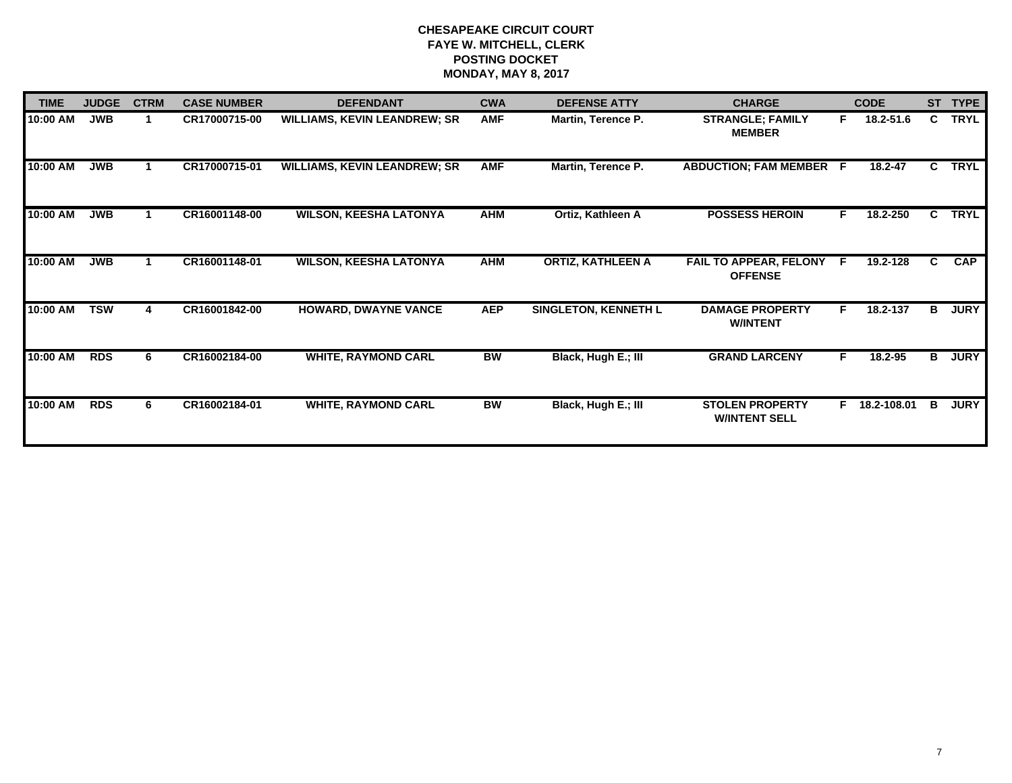| <b>TIME</b> | <b>JUDGE</b> | <b>CTRM</b> | <b>CASE NUMBER</b> | <b>DEFENDANT</b>                    | <b>CWA</b> | <b>DEFENSE ATTY</b>         | <b>CHARGE</b>                                   |    | <b>CODE</b>   | <b>ST</b> | <b>TYPE</b> |
|-------------|--------------|-------------|--------------------|-------------------------------------|------------|-----------------------------|-------------------------------------------------|----|---------------|-----------|-------------|
| 10:00 AM    | <b>JWB</b>   |             | CR17000715-00      | <b>WILLIAMS, KEVIN LEANDREW; SR</b> | <b>AMF</b> | Martin, Terence P.          | <b>STRANGLE; FAMILY</b><br><b>MEMBER</b>        | F. | 18.2-51.6     | C.        | <b>TRYL</b> |
| 10:00 AM    | <b>JWB</b>   |             | CR17000715-01      | <b>WILLIAMS, KEVIN LEANDREW; SR</b> | <b>AMF</b> | Martin, Terence P.          | <b>ABDUCTION; FAM MEMBER F</b>                  |    | 18.2-47       | C         | <b>TRYL</b> |
| 10:00 AM    | <b>JWB</b>   |             | CR16001148-00      | <b>WILSON, KEESHA LATONYA</b>       | <b>AHM</b> | Ortiz, Kathleen A           | <b>POSSESS HEROIN</b>                           | F. | 18.2-250      | C.        | <b>TRYL</b> |
| 10:00 AM    | <b>JWB</b>   |             | CR16001148-01      | <b>WILSON, KEESHA LATONYA</b>       | <b>AHM</b> | <b>ORTIZ, KATHLEEN A</b>    | <b>FAIL TO APPEAR, FELONY</b><br><b>OFFENSE</b> | -F | 19.2-128      | C.        | <b>CAP</b>  |
| 10:00 AM    | <b>TSW</b>   | 4           | CR16001842-00      | <b>HOWARD, DWAYNE VANCE</b>         | <b>AEP</b> | <b>SINGLETON, KENNETH L</b> | <b>DAMAGE PROPERTY</b><br><b>W/INTENT</b>       | F. | 18.2-137      | в         | <b>JURY</b> |
| 10:00 AM    | <b>RDS</b>   | 6.          | CR16002184-00      | <b>WHITE, RAYMOND CARL</b>          | <b>BW</b>  | Black, Hugh E.; III         | <b>GRAND LARCENY</b>                            | F  | 18.2-95       | в         | <b>JURY</b> |
| 10:00 AM    | <b>RDS</b>   | 6.          | CR16002184-01      | <b>WHITE, RAYMOND CARL</b>          | <b>BW</b>  | Black, Hugh E.; III         | <b>STOLEN PROPERTY</b><br><b>WINTENT SELL</b>   |    | F 18.2-108.01 | в         | <b>JURY</b> |